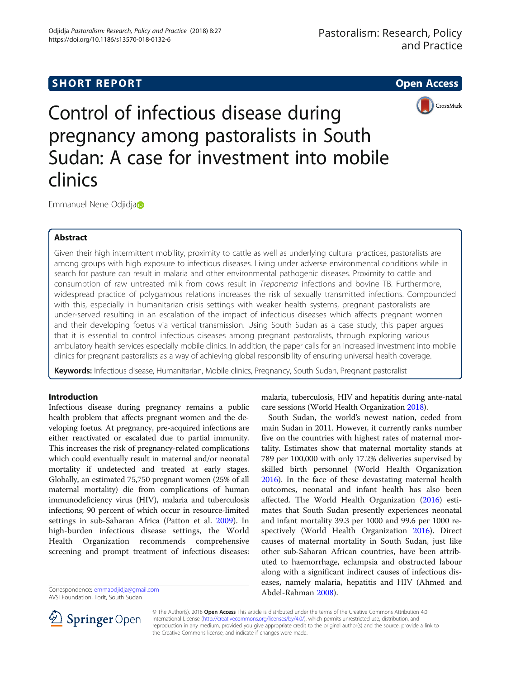# **SHORT REPORT SHORT CONSUMING THE SHORT CONSUMING THE SHORT CONSUMING THE SHORT CONSUMING THE SHORT CONSUMING THE SHORT CONSUMING THE SHORT CONSUMING THE SHORT CONSUMING THE SHORT CONSUMING THE SHORT CONSUMING THE SHORT**



Control of infectious disease during pregnancy among pastoralists in South Sudan: A case for investment into mobile clinics

Emmanuel Nene Odjidj[a](http://orcid.org/0000-0003-3502-5120)

## Abstract

Given their high intermittent mobility, proximity to cattle as well as underlying cultural practices, pastoralists are among groups with high exposure to infectious diseases. Living under adverse environmental conditions while in search for pasture can result in malaria and other environmental pathogenic diseases. Proximity to cattle and consumption of raw untreated milk from cows result in Treponema infections and bovine TB. Furthermore, widespread practice of polygamous relations increases the risk of sexually transmitted infections. Compounded with this, especially in humanitarian crisis settings with weaker health systems, pregnant pastoralists are under-served resulting in an escalation of the impact of infectious diseases which affects pregnant women and their developing foetus via vertical transmission. Using South Sudan as a case study, this paper argues that it is essential to control infectious diseases among pregnant pastoralists, through exploring various ambulatory health services especially mobile clinics. In addition, the paper calls for an increased investment into mobile clinics for pregnant pastoralists as a way of achieving global responsibility of ensuring universal health coverage.

Keywords: Infectious disease, Humanitarian, Mobile clinics, Pregnancy, South Sudan, Pregnant pastoralist

### Introduction

Infectious disease during pregnancy remains a public health problem that affects pregnant women and the developing foetus. At pregnancy, pre-acquired infections are either reactivated or escalated due to partial immunity. This increases the risk of pregnancy-related complications which could eventually result in maternal and/or neonatal mortality if undetected and treated at early stages. Globally, an estimated 75,750 pregnant women (25% of all maternal mortality) die from complications of human immunodeficiency virus (HIV), malaria and tuberculosis infections; 90 percent of which occur in resource-limited settings in sub-Saharan Africa (Patton et al. [2009\)](#page-5-0). In high-burden infectious disease settings, the World Health Organization recommends comprehensive screening and prompt treatment of infectious diseases:

Abdel-Rahman [2008\)](#page-4-0). Correspondence: [emmaodjidja@gmail.com](mailto:emmaodjidja@gmail.com)

AVSI Foundation, Torit, South Sudan



malaria, tuberculosis, HIV and hepatitis during ante-natal care sessions (World Health Organization [2018](#page-5-0)).

South Sudan, the world's newest nation, ceded from main Sudan in 2011. However, it currently ranks number five on the countries with highest rates of maternal mortality. Estimates show that maternal mortality stands at 789 per 100,000 with only 17.2% deliveries supervised by skilled birth personnel (World Health Organization [2016](#page-5-0)). In the face of these devastating maternal health outcomes, neonatal and infant health has also been affected. The World Health Organization ([2016](#page-5-0)) estimates that South Sudan presently experiences neonatal and infant mortality 39.3 per 1000 and 99.6 per 1000 respectively (World Health Organization [2016](#page-5-0)). Direct causes of maternal mortality in South Sudan, just like other sub-Saharan African countries, have been attributed to haemorrhage, eclampsia and obstructed labour along with a significant indirect causes of infectious diseases, namely malaria, hepatitis and HIV (Ahmed and

© The Author(s). 2018 Open Access This article is distributed under the terms of the Creative Commons Attribution 4.0 International License ([http://creativecommons.org/licenses/by/4.0/\)](http://creativecommons.org/licenses/by/4.0/), which permits unrestricted use, distribution, and reproduction in any medium, provided you give appropriate credit to the original author(s) and the source, provide a link to the Creative Commons license, and indicate if changes were made.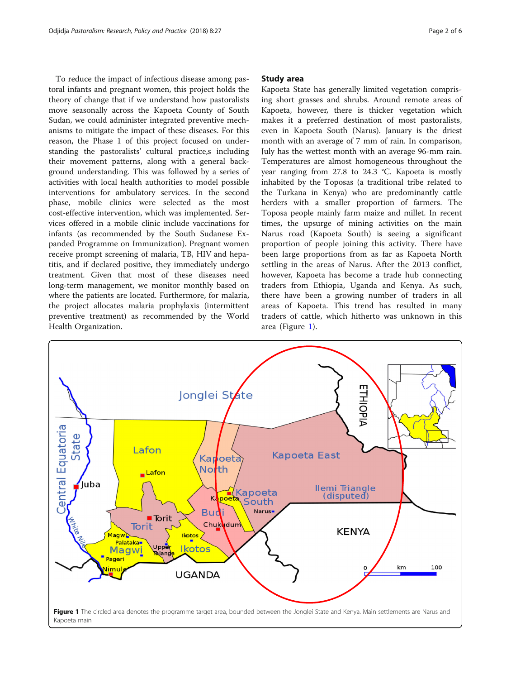To reduce the impact of infectious disease among pastoral infants and pregnant women, this project holds the theory of change that if we understand how pastoralists move seasonally across the Kapoeta County of South Sudan, we could administer integrated preventive mechanisms to mitigate the impact of these diseases. For this reason, the Phase 1 of this project focused on understanding the pastoralists' cultural practice,s including their movement patterns, along with a general background understanding. This was followed by a series of activities with local health authorities to model possible interventions for ambulatory services. In the second phase, mobile clinics were selected as the most cost-effective intervention, which was implemented. Services offered in a mobile clinic include vaccinations for infants (as recommended by the South Sudanese Expanded Programme on Immunization). Pregnant women receive prompt screening of malaria, TB, HIV and hepatitis, and if declared positive, they immediately undergo treatment. Given that most of these diseases need long-term management, we monitor monthly based on where the patients are located. Furthermore, for malaria, the project allocates malaria prophylaxis (intermittent preventive treatment) as recommended by the World Health Organization.

### Study area

Kapoeta State has generally limited vegetation comprising short grasses and shrubs. Around remote areas of Kapoeta, however, there is thicker vegetation which makes it a preferred destination of most pastoralists, even in Kapoeta South (Narus). January is the driest month with an average of 7 mm of rain. In comparison, July has the wettest month with an average 96-mm rain. Temperatures are almost homogeneous throughout the year ranging from 27.8 to 24.3 °C. Kapoeta is mostly inhabited by the Toposas (a traditional tribe related to the Turkana in Kenya) who are predominantly cattle herders with a smaller proportion of farmers. The Toposa people mainly farm maize and millet. In recent times, the upsurge of mining activities on the main Narus road (Kapoeta South) is seeing a significant proportion of people joining this activity. There have been large proportions from as far as Kapoeta North settling in the areas of Narus. After the 2013 conflict, however, Kapoeta has become a trade hub connecting traders from Ethiopia, Uganda and Kenya. As such, there have been a growing number of traders in all areas of Kapoeta. This trend has resulted in many traders of cattle, which hitherto was unknown in this area (Figure 1).

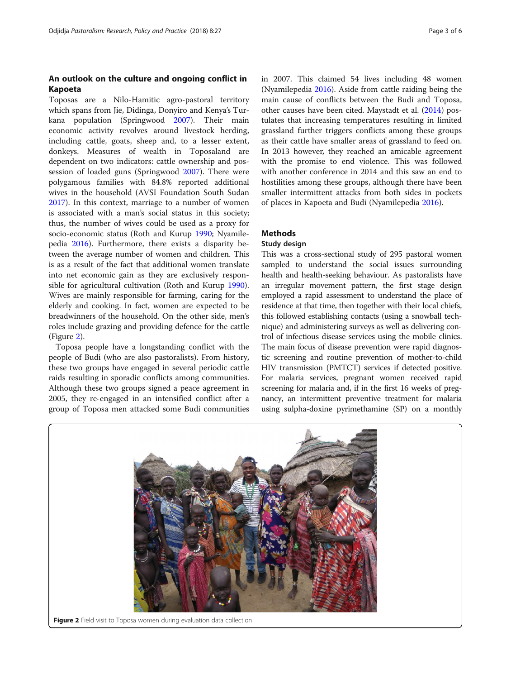### An outlook on the culture and ongoing conflict in Kapoeta

Toposas are a Nilo-Hamitic agro-pastoral territory which spans from Jie, Didinga, Donyiro and Kenya's Turkana population (Springwood [2007](#page-5-0)). Their main economic activity revolves around livestock herding, including cattle, goats, sheep and, to a lesser extent, donkeys. Measures of wealth in Toposaland are dependent on two indicators: cattle ownership and possession of loaded guns (Springwood [2007](#page-5-0)). There were polygamous families with 84.8% reported additional wives in the household (AVSI Foundation South Sudan [2017](#page-4-0)). In this context, marriage to a number of women is associated with a man's social status in this society; thus, the number of wives could be used as a proxy for socio-economic status (Roth and Kurup [1990](#page-5-0); Nyamilepedia [2016](#page-5-0)). Furthermore, there exists a disparity between the average number of women and children. This is as a result of the fact that additional women translate into net economic gain as they are exclusively responsible for agricultural cultivation (Roth and Kurup [1990](#page-5-0)). Wives are mainly responsible for farming, caring for the elderly and cooking. In fact, women are expected to be breadwinners of the household. On the other side, men's roles include grazing and providing defence for the cattle (Figure 2).

Toposa people have a longstanding conflict with the people of Budi (who are also pastoralists). From history, these two groups have engaged in several periodic cattle raids resulting in sporadic conflicts among communities. Although these two groups signed a peace agreement in 2005, they re-engaged in an intensified conflict after a group of Toposa men attacked some Budi communities in 2007. This claimed 54 lives including 48 women (Nyamilepedia [2016](#page-5-0)). Aside from cattle raiding being the main cause of conflicts between the Budi and Toposa, other causes have been cited. Maystadt et al. ([2014](#page-5-0)) postulates that increasing temperatures resulting in limited grassland further triggers conflicts among these groups as their cattle have smaller areas of grassland to feed on. In 2013 however, they reached an amicable agreement with the promise to end violence. This was followed with another conference in 2014 and this saw an end to hostilities among these groups, although there have been smaller intermittent attacks from both sides in pockets of places in Kapoeta and Budi (Nyamilepedia [2016\)](#page-5-0).

### **Methods**

### Study design

This was a cross-sectional study of 295 pastoral women sampled to understand the social issues surrounding health and health-seeking behaviour. As pastoralists have an irregular movement pattern, the first stage design employed a rapid assessment to understand the place of residence at that time, then together with their local chiefs, this followed establishing contacts (using a snowball technique) and administering surveys as well as delivering control of infectious disease services using the mobile clinics. The main focus of disease prevention were rapid diagnostic screening and routine prevention of mother-to-child HIV transmission (PMTCT) services if detected positive. For malaria services, pregnant women received rapid screening for malaria and, if in the first 16 weeks of pregnancy, an intermittent preventive treatment for malaria using sulpha-doxine pyrimethamine (SP) on a monthly

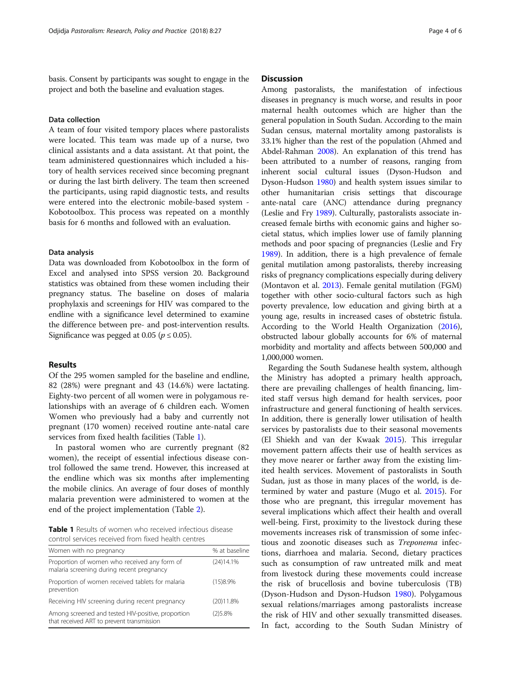basis. Consent by participants was sought to engage in the project and both the baseline and evaluation stages.

#### Data collection

A team of four visited tempory places where pastoralists were located. This team was made up of a nurse, two clinical assistants and a data assistant. At that point, the team administered questionnaires which included a history of health services received since becoming pregnant or during the last birth delivery. The team then screened the participants, using rapid diagnostic tests, and results were entered into the electronic mobile-based system - Kobotoolbox. This process was repeated on a monthly basis for 6 months and followed with an evaluation.

### Data analysis

Data was downloaded from Kobotoolbox in the form of Excel and analysed into SPSS version 20. Background statistics was obtained from these women including their pregnancy status. The baseline on doses of malaria prophylaxis and screenings for HIV was compared to the endline with a significance level determined to examine the difference between pre- and post-intervention results. Significance was pegged at 0.05 ( $p \le 0.05$ ).

#### Results

Of the 295 women sampled for the baseline and endline, 82 (28%) were pregnant and 43 (14.6%) were lactating. Eighty-two percent of all women were in polygamous relationships with an average of 6 children each. Women Women who previously had a baby and currently not pregnant (170 women) received routine ante-natal care services from fixed health facilities (Table 1).

In pastoral women who are currently pregnant (82 women), the receipt of essential infectious disease control followed the same trend. However, this increased at the endline which was six months after implementing the mobile clinics. An average of four doses of monthly malaria prevention were administered to women at the end of the project implementation (Table [2\)](#page-4-0).

Table 1 Results of women who received infectious disease control services received from fixed health centres

| Women with no pregnancy                                                                         | % at baseline |
|-------------------------------------------------------------------------------------------------|---------------|
| Proportion of women who received any form of<br>malaria screening during recent pregnancy       | (24)14.1%     |
| Proportion of women received tablets for malaria<br>prevention                                  | (15)8.9%      |
| Receiving HIV screening during recent pregnancy                                                 | (20)11.8%     |
| Among screened and tested HIV-positive, proportion<br>that received ART to prevent transmission | (2)5.8%       |

### **Discussion**

Among pastoralists, the manifestation of infectious diseases in pregnancy is much worse, and results in poor maternal health outcomes which are higher than the general population in South Sudan. According to the main Sudan census, maternal mortality among pastoralists is 33.1% higher than the rest of the population (Ahmed and Abdel-Rahman [2008](#page-4-0)). An explanation of this trend has been attributed to a number of reasons, ranging from inherent social cultural issues (Dyson-Hudson and Dyson-Hudson [1980](#page-4-0)) and health system issues similar to other humanitarian crisis settings that discourage ante-natal care (ANC) attendance during pregnancy (Leslie and Fry [1989](#page-5-0)). Culturally, pastoralists associate increased female births with economic gains and higher societal status, which implies lower use of family planning methods and poor spacing of pregnancies (Leslie and Fry [1989\)](#page-5-0). In addition, there is a high prevalence of female genital mutilation among pastoralists, thereby increasing risks of pregnancy complications especially during delivery (Montavon et al. [2013](#page-5-0)). Female genital mutilation (FGM) together with other socio-cultural factors such as high poverty prevalence, low education and giving birth at a young age, results in increased cases of obstetric fistula. According to the World Health Organization [\(2016](#page-5-0)), obstructed labour globally accounts for 6% of maternal morbidity and mortality and affects between 500,000 and 1,000,000 women.

Regarding the South Sudanese health system, although the Ministry has adopted a primary health approach, there are prevailing challenges of health financing, limited staff versus high demand for health services, poor infrastructure and general functioning of health services. In addition, there is generally lower utilisation of health services by pastoralists due to their seasonal movements (El Shiekh and van der Kwaak [2015](#page-4-0)). This irregular movement pattern affects their use of health services as they move nearer or farther away from the existing limited health services. Movement of pastoralists in South Sudan, just as those in many places of the world, is determined by water and pasture (Mugo et al. [2015](#page-5-0)). For those who are pregnant, this irregular movement has several implications which affect their health and overall well-being. First, proximity to the livestock during these movements increases risk of transmission of some infectious and zoonotic diseases such as Treponema infections, diarrhoea and malaria. Second, dietary practices such as consumption of raw untreated milk and meat from livestock during these movements could increase the risk of brucellosis and bovine tuberculosis (TB) (Dyson-Hudson and Dyson-Hudson [1980\)](#page-4-0). Polygamous sexual relations/marriages among pastoralists increase the risk of HIV and other sexually transmitted diseases. In fact, according to the South Sudan Ministry of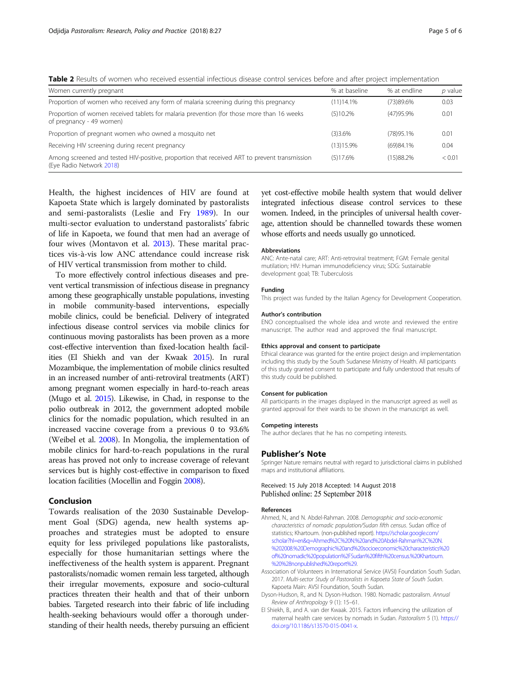<span id="page-4-0"></span>Table 2 Results of women who received essential infectious disease control services before and after project implementation

| Women currently pregnant                                                                                                 | % at baseline | % at endline | p value |
|--------------------------------------------------------------------------------------------------------------------------|---------------|--------------|---------|
| Proportion of women who received any form of malaria screening during this pregnancy                                     | (11)14.1%     | (73)89.6%    | 0.03    |
| Proportion of women received tablets for malaria prevention (for those more than 16 weeks)<br>of pregnancy - 49 women)   | (5)10.2%      | (47) 95.9%   | 0.01    |
| Proportion of pregnant women who owned a mosquito net                                                                    | (3)3.6%       | (78)95.1%    | 0.01    |
| Receiving HIV screening during recent pregnancy                                                                          | (13)15.9%     | (69)84.1%    | 0.04    |
| Among screened and tested HIV-positive, proportion that received ART to prevent transmission<br>(Eye Radio Network 2018) | (5)17.6%      | (15)88.2%    | < 0.01  |

Health, the highest incidences of HIV are found at Kapoeta State which is largely dominated by pastoralists and semi-pastoralists (Leslie and Fry [1989\)](#page-5-0). In our multi-sector evaluation to understand pastoralists' fabric of life in Kapoeta, we found that men had an average of four wives (Montavon et al. [2013](#page-5-0)). These marital practices vis-à-vis low ANC attendance could increase risk of HIV vertical transmission from mother to child.

To more effectively control infectious diseases and prevent vertical transmission of infectious disease in pregnancy among these geographically unstable populations, investing in mobile community-based interventions, especially mobile clinics, could be beneficial. Delivery of integrated infectious disease control services via mobile clinics for continuous moving pastoralists has been proven as a more cost-effective intervention than fixed-location health facilities (El Shiekh and van der Kwaak 2015). In rural Mozambique, the implementation of mobile clinics resulted in an increased number of anti-retroviral treatments (ART) among pregnant women especially in hard-to-reach areas (Mugo et al. [2015\)](#page-5-0). Likewise, in Chad, in response to the polio outbreak in 2012, the government adopted mobile clinics for the nomadic population, which resulted in an increased vaccine coverage from a previous 0 to 93.6% (Weibel et al. [2008](#page-5-0)). In Mongolia, the implementation of mobile clinics for hard-to-reach populations in the rural areas has proved not only to increase coverage of relevant services but is highly cost-effective in comparison to fixed location facilities (Mocellin and Foggin [2008\)](#page-5-0).

### Conclusion

Towards realisation of the 2030 Sustainable Development Goal (SDG) agenda, new health systems approaches and strategies must be adopted to ensure equity for less privileged populations like pastoralists, especially for those humanitarian settings where the ineffectiveness of the health system is apparent. Pregnant pastoralists/nomadic women remain less targeted, although their irregular movements, exposure and socio-cultural practices threaten their health and that of their unborn babies. Targeted research into their fabric of life including health-seeking behaviours would offer a thorough understanding of their health needs, thereby pursuing an efficient

yet cost-effective mobile health system that would deliver integrated infectious disease control services to these women. Indeed, in the principles of universal health coverage, attention should be channelled towards these women whose efforts and needs usually go unnoticed.

#### Abbreviations

ANC: Ante-natal care; ART: Anti-retroviral treatment; FGM: Female genital mutilation; HIV: Human immunodeficiency virus; SDG: Sustainable development goal; TB: Tuberculosis

#### Funding

This project was funded by the Italian Agency for Development Cooperation.

#### Author's contribution

ENO conceptualised the whole idea and wrote and reviewed the entire manuscript. The author read and approved the final manuscript.

#### Ethics approval and consent to participate

Ethical clearance was granted for the entire project design and implementation including this study by the South Sudanese Ministry of Health. All participants of this study granted consent to participate and fully understood that results of this study could be published.

#### Consent for publication

All participants in the images displayed in the manuscript agreed as well as granted approval for their wards to be shown in the manuscript as well.

#### Competing interests

The author declares that he has no competing interests.

#### Publisher's Note

Springer Nature remains neutral with regard to jurisdictional claims in published maps and institutional affiliations.

Received: 15 July 2018 Accepted: 14 August 2018 Published online: 25 September 2018

#### References

- Ahmed, N., and N. Abdel-Rahman. 2008. Demographic and socio-economic characteristics of nomadic population/Sudan fifth census. Sudan office of statistics; Khartoum. (non-published report). [https://scholar.google.com/](https://scholar.google.com/scholar?hl=en&q=Ahmed%2C%20N.%20and%20Abdel-Rahman%2C%20N.%202008.%20Demographic%20and%20socioeconomic%20characteristics%20of%20nomadic%20population%2FSudan%20fifth%20census.%20Khartoum.%20%28nonpublished%20report%29) [scholar?hl=en&q=Ahmed%2C%20N.%20and%20Abdel-Rahman%2C%20N.](https://scholar.google.com/scholar?hl=en&q=Ahmed%2C%20N.%20and%20Abdel-Rahman%2C%20N.%202008.%20Demographic%20and%20socioeconomic%20characteristics%20of%20nomadic%20population%2FSudan%20fifth%20census.%20Khartoum.%20%28nonpublished%20report%29) [%202008.%20Demographic%20and%20socioeconomic%20characteristics%20](https://scholar.google.com/scholar?hl=en&q=Ahmed%2C%20N.%20and%20Abdel-Rahman%2C%20N.%202008.%20Demographic%20and%20socioeconomic%20characteristics%20of%20nomadic%20population%2FSudan%20fifth%20census.%20Khartoum.%20%28nonpublished%20report%29) [of%20nomadic%20population%2FSudan%20fifth%20census.%20Khartoum.](https://scholar.google.com/scholar?hl=en&q=Ahmed%2C%20N.%20and%20Abdel-Rahman%2C%20N.%202008.%20Demographic%20and%20socioeconomic%20characteristics%20of%20nomadic%20population%2FSudan%20fifth%20census.%20Khartoum.%20%28nonpublished%20report%29) [%20%28nonpublished%20report%29.](https://scholar.google.com/scholar?hl=en&q=Ahmed%2C%20N.%20and%20Abdel-Rahman%2C%20N.%202008.%20Demographic%20and%20socioeconomic%20characteristics%20of%20nomadic%20population%2FSudan%20fifth%20census.%20Khartoum.%20%28nonpublished%20report%29)
- Association of Volunteers in International Service (AVSI) Foundation South Sudan. 2017. Multi-sector Study of Pastoralists in Kapoeta State of South Sudan. Kapoeta Main: AVSI Foundation, South Sudan.
- Dyson-Hudson, R., and N. Dyson-Hudson. 1980. Nomadic pastoralism. Annual Review of Anthropology 9 (1): 15–61.
- El Shiekh, B., and A. van der Kwaak. 2015. Factors influencing the utilization of maternal health care services by nomads in Sudan. Pastoralism 5 (1). [https://](https://doi.org/10.1186/s13570-015-0041-x) [doi.org/10.1186/s13570-015-0041-x](https://doi.org/10.1186/s13570-015-0041-x).